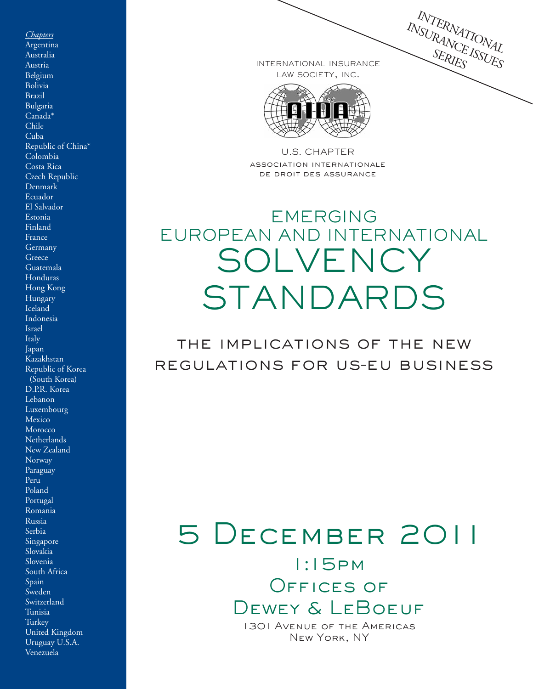INTERNATIONAL INSURANATIONAL

INTERNATIONAL INSURANCE LAW SOCIETY, INC.



U.S. CHAPTER association internationale de droit des assurance

## EMERGING EUROPEAN AND INTERNATIONAL SOLVENCY STANDARDS

the implications of the new regulations for us-eu business

# 5 December 2011

1:15pm OFFICES OF Dewey & LeBoeuf

1301 Avenue of the Americas New York, NY

*Chapters* Argentina Australia Austria Belgium Bolivia Brazil Bulgaria Canada\* Chile Cuba Republic of China\* Colombia Costa Rica Czech Republic Denmark Ecuador El Salvador Estonia Finland France Germany Greece Guatemala Honduras Hong Kong Hungary **Iceland** Indonesia Israel Italy Japan Kazakhstan Republic of Korea (South Korea) D.P.R. Korea Lebanon Luxembourg **Mexico** Morocco Netherlands New Zealand Norway Paraguay Peru Poland Portugal Romania Russia Serbia Singapore Slovakia Slovenia South Africa Spain Sweden Switzerland Tunisia Turkey United Kingdom Uruguay U.S.A. Venezuela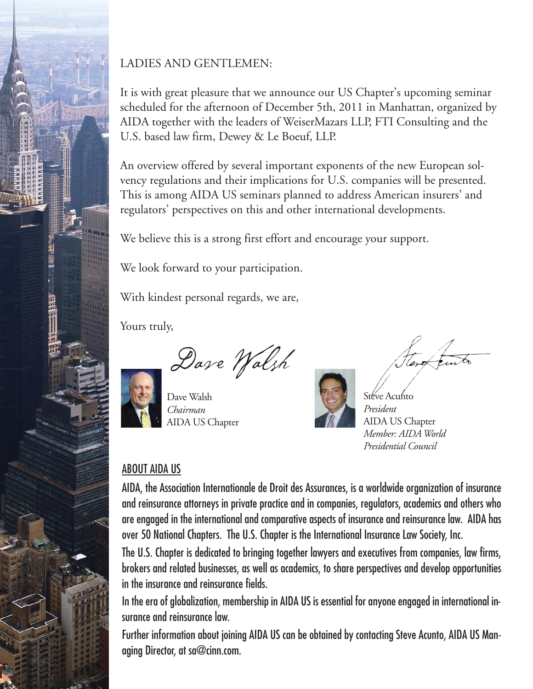

#### LADIES AND GENTLEMEN:

It is with great pleasure that we announce our US Chapter's upcoming seminar scheduled for the afternoon of December 5th, 2011 in Manhattan, organized by AIDA together with the leaders of WeiserMazars LLP, FTI Consulting and the U.S. based law firm, Dewey & Le Boeuf, LLP.

An overview offered by several important exponents of the new European solvency regulations and their implications for U.S. companies will be presented. This is among AIDA US seminars planned to address American insurers' and regulators' perspectives on this and other international developments.

We believe this is a strong first effort and encourage your support.

We look forward to your participation.

With kindest personal regards, we are,

Yours truly,

Dave Walsh

Dave Walsh *Chairman* AIDA US Chapter

Stéve Acunto *President* AIDA US Chapter *Member: AIDA World Presidential Council* 

#### ABOUT AIDA US

AIDA, the Association Internationale de Droit des Assurances, is a worldwide organization of insurance and reinsurance attorneys in private practice and in companies, regulators, academics and others who are engaged in the international and comparative aspects of insurance and reinsurance law. AIDA has over 50 National Chapters. The U.S. Chapter is the International Insurance Law Society, Inc.

The U.S. Chapter is dedicated to bringing together lawyers and executives from companies, law firms, brokers and related businesses, as well as academics, to share perspectives and develop opportunities in the insurance and reinsurance fields.

In the era of globalization, membership in AIDA US is essential for anyone engaged in international insurance and reinsurance law.

Further information about joining AIDA US can be obtained by contacting Steve Acunto, AIDA US Managing Director, at sa@cinn.com.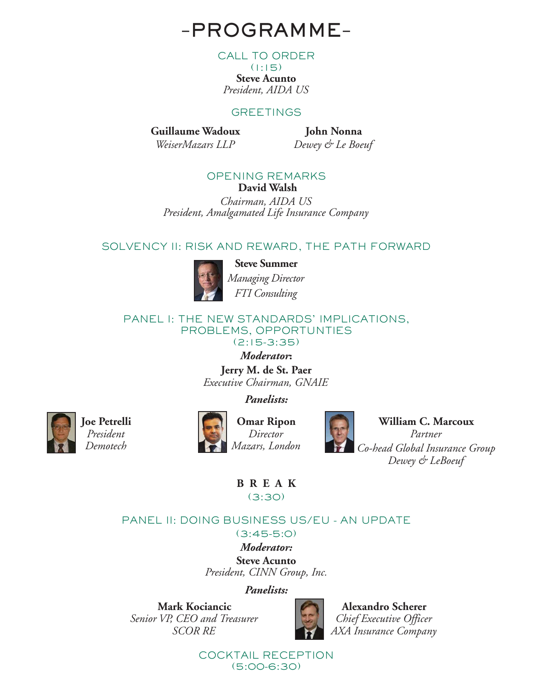### –**PROGRAMME**–

CALL TO ORDER

 $(1:15)$ **Steve Acunto** *President, AIDA US*

#### **GREETINGS**

**Guillaume Wadoux** *WeiserMazars LLP*

**John Nonna** *Dewey & Le Boeuf*

#### OPENING REMARKS **David Walsh**

*Chairman, AIDA US President, Amalgamated Life Insurance Company*

#### SOLVENCY II: RISK AND REWARD, THE PATH FORWARD



**Steve Summer** *Managing Director FTI Consulting*

#### PANEL I: THE NEW STANDARDS' IMPLICATIONS, PROBLEMS, OPPORTUNTIES (2:15-3:35)

*Moderator***:** 

**Jerry M. de St. Paer** *Executive Chairman, GNAIE* 

*Panelists:* 



**Joe Petrelli** *President Demotech*



**Omar Ripon** *Director Mazars, London*



**William C. Marcoux** *Partner Co-head Global Insurance Group Dewey & LeBoeuf*

**BREAK** (3:30)

#### PANEL II: DOING BUSINESS US/EU - AN UPDATE (3:45-5:0)

*Moderator:*  **Steve Acunto** *President, CINN Group, Inc.*

*Panelists:* 

**Mark Kociancic** *Senior VP, CEO and Treasurer SCOR RE*



**Alexandro Scherer** *Chief Executive Officer AXA Insurance Company*

COCKTAIL RECEPTION (5:00-6:30)